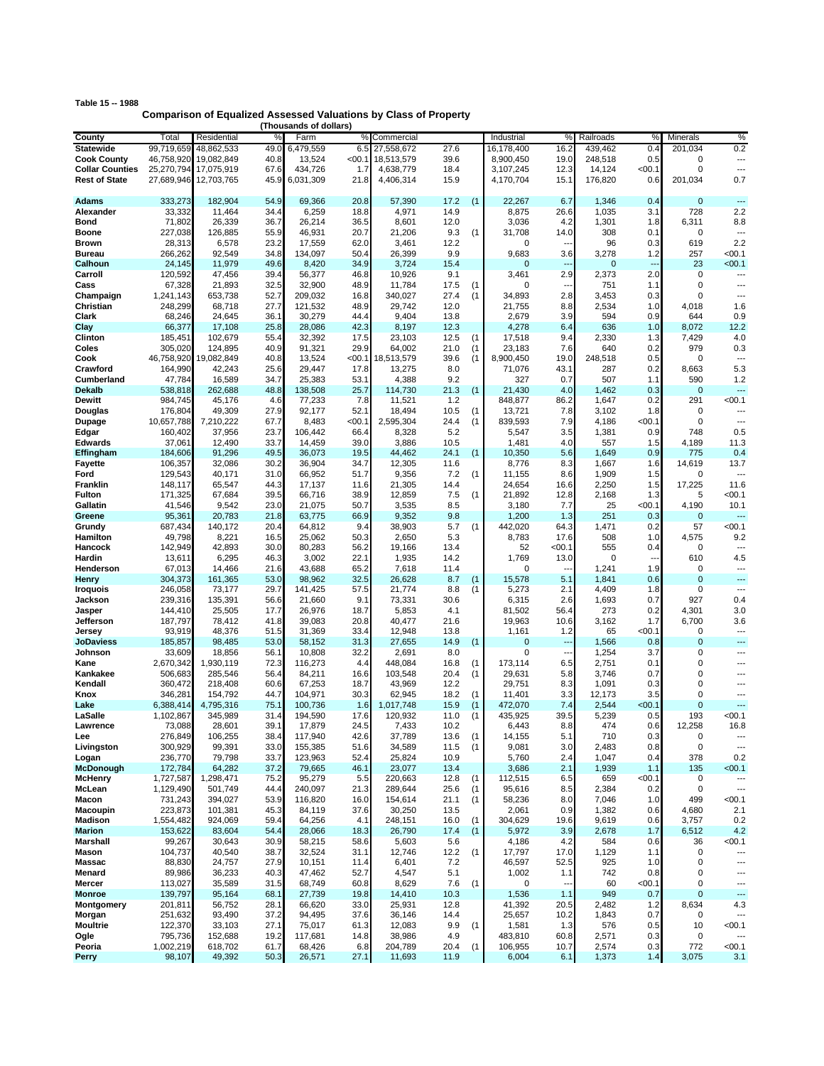| Table 15 -- 1988 |                                                                         |
|------------------|-------------------------------------------------------------------------|
|                  | <b>Comparison of Equalized Assessed Valuations by Class of Property</b> |

|                        |            |                       |      | (Thousands or dollars) |        |            |      |     |            |                          |             |                |                |                          |
|------------------------|------------|-----------------------|------|------------------------|--------|------------|------|-----|------------|--------------------------|-------------|----------------|----------------|--------------------------|
| County                 | Total      | Residential           | %    | Farm                   | %      | Commercial |      |     | Industrial | %                        | Railroads   | ℀              | Minerals       | %                        |
| <b>Statewide</b>       | 99,719,659 | 48,862,533            | 49.0 | 6,479,559              | 6.5    | 27,558,672 | 27.6 |     | 16,178,400 | 16.2                     | 439,462     | 0.4            | 201,034        | 0.2                      |
| <b>Cook County</b>     | 46,758,920 | 19,082,849            | 40.8 | 13,524                 | < 00.1 | 18,513,579 | 39.6 |     | 8,900,450  | 19.0                     | 248,518     | 0.5            | $\mathbf 0$    | ---                      |
| <b>Collar Counties</b> | 25,270,794 | 17,075,919            | 67.6 | 434,726                | 1.7    | 4,638,779  | 18.4 |     | 3,107,245  | 12.3                     | 14,124      | < 00.1         | $\mathbf 0$    | ---                      |
|                        |            |                       |      |                        |        |            |      |     |            |                          |             |                |                |                          |
| <b>Rest of State</b>   |            | 27,689,946 12,703,765 | 45.9 | 6,031,309              | 21.8   | 4,406,314  | 15.9 |     | 4,170,704  | 15.1                     | 176,820     | 0.6            | 201,034        | 0.7                      |
|                        |            |                       |      |                        |        |            |      |     |            |                          |             |                |                |                          |
| <b>Adams</b>           | 333,273    | 182,904               | 54.9 | 69,366                 | 20.8   | 57,390     | 17.2 | (1) | 22,267     | 6.7                      | 1,346       | 0.4            | $\mathbf 0$    | ---                      |
| Alexander              | 33,332     | 11,464                | 34.4 | 6,259                  | 18.8   | 4,971      | 14.9 |     | 8,875      | 26.6                     | 1,035       | 3.1            | 728            | 2.2                      |
| Bond                   | 71,802     | 26,339                | 36.7 | 26,214                 | 36.5   | 8,601      | 12.0 |     | 3,036      | 4.2                      | 1,301       | 1.8            | 6,311          | 8.8                      |
| <b>Boone</b>           | 227,038    | 126,885               | 55.9 | 46,931                 | 20.7   | 21,206     | 9.3  | (1) | 31,708     | 14.0                     | 308         | 0.1            | $\mathbf 0$    |                          |
| <b>Brown</b>           | 28,313     | 6,578                 | 23.2 | 17,559                 | 62.0   | 3,461      | 12.2 |     | 0          |                          | 96          | 0.3            | 619            | 2.2                      |
| <b>Bureau</b>          | 266,262    | 92,549                | 34.8 | 134,097                | 50.4   | 26,399     | 9.9  |     | 9,683      | 3.6                      | 3,278       | 1.2            | 257            | $00.1$                   |
|                        |            |                       |      |                        |        |            |      |     |            |                          |             |                |                |                          |
| Calhoun                | 24,145     | 11,979                | 49.6 | 8,420                  | 34.9   | 3,724      | 15.4 |     | 0          | --                       | $\mathbf 0$ | $\overline{a}$ | 23             | $00.1$                   |
| Carroll                | 120,592    | 47,456                | 39.4 | 56,377                 | 46.8   | 10,926     | 9.1  |     | 3,461      | 2.9                      | 2,373       | 2.0            | $\mathbf 0$    |                          |
| Cass                   | 67,328     | 21,893                | 32.5 | 32,900                 | 48.9   | 11,784     | 17.5 | (1) | 0          |                          | 751         | 1.1            | $\mathbf 0$    | ---                      |
| Champaign              | 1,241,143  | 653,738               | 52.7 | 209,032                | 16.8   | 340,027    | 27.4 | (1) | 34,893     | 2.8                      | 3,453       | 0.3            | $\mathbf 0$    | $\overline{\phantom{a}}$ |
| Christian              | 248,299    | 68,718                | 27.7 | 121,532                | 48.9   | 29,742     | 12.0 |     | 21,755     | 8.8                      | 2,534       | 1.0            | 4,018          | 1.6                      |
| Clark                  | 68,246     | 24,645                | 36.1 | 30,279                 | 44.4   | 9,404      | 13.8 |     | 2,679      | 3.9                      | 594         | 0.9            | 644            | 0.9                      |
| Clay                   | 66,377     | 17,108                | 25.8 | 28,086                 | 42.3   | 8,197      | 12.3 |     | 4,278      | 6.4                      | 636         | 1.0            | 8,072          | 12.2                     |
| Clinton                | 185,451    | 102,679               |      | 32,392                 |        | 23,103     | 12.5 | (1) | 17,518     |                          | 2,330       | 1.3            | 7,429          | 4.0                      |
|                        |            |                       | 55.4 |                        | 17.5   |            |      |     |            | 9.4                      |             |                |                |                          |
| Coles                  | 305,020    | 124,895               | 40.9 | 91,321                 | 29.9   | 64,002     | 21.0 | (1) | 23,183     | 7.6                      | 640         | 0.2            | 979            | 0.3                      |
| Cook                   | 46,758,920 | 19,082,849            | 40.8 | 13,524                 | < 00.1 | 18,513,579 | 39.6 | (1) | 8,900,450  | 19.0                     | 248,518     | 0.5            | $\mathbf 0$    | ---                      |
| Crawford               | 164,990    | 42,243                | 25.6 | 29,447                 | 17.8   | 13,275     | 8.0  |     | 71,076     | 43.1                     | 287         | 0.2            | 8,663          | 5.3                      |
| Cumberland             | 47,784     | 16,589                | 34.7 | 25,383                 | 53.1   | 4,388      | 9.2  |     | 327        | 0.7                      | 507         | 1.1            | 590            | 1.2                      |
| <b>Dekalb</b>          | 538,818    | 262,688               | 48.8 | 138,508                | 25.7   | 114,730    | 21.3 | (1) | 21,430     | 4.0                      | 1,462       | 0.3            | $\mathbf 0$    | ---                      |
| Dewitt                 | 984,745    | 45,176                | 4.6  | 77.233                 | 7.8    | 11,521     | 1.2  |     | 848,877    | 86.2                     | 1,647       | 0.2            | 291            | $00.1$                   |
| Douglas                | 176,804    | 49,309                | 27.9 | 92,177                 | 52.1   | 18,494     | 10.5 | (1) | 13,721     | 7.8                      | 3,102       | 1.8            | 0              |                          |
|                        |            | 7,210,222             | 67.7 | 8,483                  | < 00.1 | 2,595,304  | 24.4 |     | 839,593    | 7.9                      | 4,186       | $<$ 00.1       | $\mathbf 0$    | $\overline{\phantom{a}}$ |
| Dupage                 | 10,657,788 |                       |      |                        |        |            |      | (1) |            |                          |             |                |                |                          |
| Edgar                  | 160,402    | 37,956                | 23.7 | 106,442                | 66.4   | 8,328      | 5.2  |     | 5,547      | 3.5                      | 1,381       | 0.9            | 748            | 0.5                      |
| <b>Edwards</b>         | 37,061     | 12,490                | 33.7 | 14,459                 | 39.0   | 3,886      | 10.5 |     | 1,481      | 4.0                      | 557         | 1.5            | 4,189          | 11.3                     |
| Effingham              | 184,606    | 91,296                | 49.5 | 36,073                 | 19.5   | 44,462     | 24.1 | (1) | 10,350     | 5.6                      | 1,649       | 0.9            | 775            | 0.4                      |
| Fayette                | 106,357    | 32,086                | 30.2 | 36,904                 | 34.7   | 12,305     | 11.6 |     | 8,776      | 8.3                      | 1,667       | 1.6            | 14,619         | 13.7                     |
| Ford                   | 129,543    | 40,171                | 31.0 | 66,952                 | 51.7   | 9,356      | 7.2  | (1) | 11,155     | 8.6                      | 1,909       | 1.5            | $\mathbf 0$    | $\overline{\phantom{a}}$ |
| Franklin               | 148,117    | 65,547                | 44.3 | 17,137                 | 11.6   | 21,305     | 14.4 |     | 24,654     | 16.6                     | 2,250       | 1.5            | 17,225         | 11.6                     |
| <b>Fulton</b>          | 171,325    | 67,684                | 39.5 | 66,716                 | 38.9   | 12,859     | 7.5  | (1) | 21,892     | 12.8                     | 2,168       | 1.3            | 5              | $00.1$                   |
| Gallatin               | 41,546     | 9,542                 | 23.0 | 21,075                 | 50.7   | 3,535      | 8.5  |     | 3,180      |                          | 25          | < 00.1         | 4,190          | 10.1                     |
|                        |            |                       |      |                        |        |            |      |     |            | 7.7                      |             |                |                |                          |
| Greene                 | 95,361     | 20,783                | 21.8 | 63,775                 | 66.9   | 9,352      | 9.8  |     | 1,200      | 1.3                      | 251         | 0.3            | $\mathbf 0$    |                          |
| Grundy                 | 687,434    | 140,172               | 20.4 | 64,812                 | 9.4    | 38,903     | 5.7  | (1) | 442,020    | 64.3                     | 1,471       | 0.2            | 57             | $00.1$                   |
| Hamilton               | 49,798     | 8,221                 | 16.5 | 25,062                 | 50.3   | 2,650      | 5.3  |     | 8,783      | 17.6                     | 508         | 1.0            | 4,575          | 9.2                      |
| Hancock                | 142,949    | 42,893                | 30.0 | 80,283                 | 56.2   | 19,166     | 13.4 |     | 52         | < 00.1                   | 555         | 0.4            | 0              | $\overline{\phantom{a}}$ |
| Hardin                 | 13,611     | 6,295                 | 46.3 | 3,002                  | 22.1   | 1,935      | 14.2 |     | 1,769      | 13.0                     | 0           | $\overline{a}$ | 610            | 4.5                      |
| Henderson              | 67,013     | 14,466                | 21.6 | 43,688                 | 65.2   | 7,618      | 11.4 |     | 0          |                          | 1,241       | 1.9            | 0              | $\overline{\phantom{a}}$ |
| Henry                  | 304,373    | 161,365               | 53.0 | 98,962                 | 32.5   | 26,628     | 8.7  | (1) | 15,578     | 5.1                      | 1,841       | 0.6            | $\overline{0}$ | $\overline{a}$           |
| Iroquois               | 246,058    | 73,177                | 29.7 | 141,425                | 57.5   | 21,774     | 8.8  | (1) | 5,273      | 2.1                      | 4,409       | 1.8            | $\mathbf 0$    | ---                      |
|                        | 239,316    | 135,391               | 56.6 | 21,660                 | 9.1    | 73,331     | 30.6 |     | 6,315      |                          | 1,693       | 0.7            | 927            | 0.4                      |
| Jackson                |            |                       |      |                        |        |            |      |     |            | 2.6                      |             |                |                |                          |
| Jasper                 | 144,410    | 25,505                | 17.7 | 26,976                 | 18.7   | 5,853      | 4.1  |     | 81,502     | 56.4                     | 273         | 0.2            | 4,301          | 3.0                      |
| Jefferson              | 187,797    | 78,412                | 41.8 | 39,083                 | 20.8   | 40,477     | 21.6 |     | 19,963     | 10.6                     | 3,162       | 1.7            | 6,700          | 3.6                      |
| Jersey                 | 93,919     | 48,376                | 51.5 | 31,369                 | 33.4   | 12,948     | 13.8 |     | 1,161      | 1.2                      | 65          | < 00.1         | $\mathbf 0$    | ---                      |
| <b>JoDaviess</b>       | 185,857    | 98,485                | 53.0 | 58,152                 | 31.3   | 27,655     | 14.9 | (1) | 0          |                          | 1,566       | 0.8            | $\overline{0}$ |                          |
| Johnson                | 33,609     | 18,856                | 56.1 | 10,808                 | 32.2   | 2,691      | 8.0  |     | 0          | ---                      | 1,254       | 3.7            | $\mathbf 0$    | ---                      |
| Kane                   | 2,670,342  | 1,930,119             | 72.3 | 116,273                | 4.4    | 448,084    | 16.8 | (1) | 173,114    | 6.5                      | 2,751       | 0.1            | $\mathbf 0$    | ---                      |
| Kankakee               | 506,683    | 285,546               | 56.4 | 84,211                 | 16.6   | 103,548    | 20.4 | (1) | 29,631     | 5.8                      | 3,746       | 0.7            | 0              | ---                      |
| Kendall                | 360,472    | 218,408               | 60.6 | 67,253                 | 18.7   | 43,969     | 12.2 |     | 29,751     | 8.3                      | 1,091       | 0.3            | $\mathbf 0$    | ---                      |
| Knox                   | 346,281    | 154,792               | 44.7 | 104,971                | 30.3   | 62,945     | 18.2 |     | 11,401     | 3.3                      | 12,173      | 3.5            | $\mathbf 0$    | ---                      |
|                        |            |                       |      |                        |        |            |      | (1) |            |                          |             |                |                | ---                      |
| Lake                   | 6,388,414  | 4,795,316             | 75.1 | 100,736                | 1.6    | 1,017,748  | 15.9 | (1) | 472,070    | 7.4                      | 2,544       | < 00.1         | $\mathbf{0}$   |                          |
| LaSalle                | 1,102,867  | 345,989               | 31.4 | 194,590                | 17.6   | 120,932    | 11.0 | (1) | 435,925    | 39.5                     | 5,239       | 0.5            | 193            | $00.1$                   |
| Lawrence               | 73,088     | 28,601                | 39.1 | 17.879                 | 24.5   | 7,433      | 10.2 |     | 6,443      | 8.8                      | 474         | 0.6            | 12,258         | 16.8                     |
| Lee                    | 276,849    | 106,255               | 38.4 | 117,940                | 42.6   | 37,789     | 13.6 | (1) | 14,155     | 5.1                      | 710         | 0.3            | 0              |                          |
| Livingston             | 300,929    | 99,391                | 33.0 | 155,385                | 51.6   | 34,589     | 11.5 | (1) | 9,081      | 3.0                      | 2,483       | 0.8            | 0              | ---                      |
| Logan                  | 236,770    | 79,798                | 33.7 | 123,963                | 52.4   | 25,824     | 10.9 |     | 5,760      | 2.4                      | 1,047       | 0.4            | 378            | 0.2                      |
| <b>McDonough</b>       | 172,784    | 64,282                | 37.2 | 79,665                 | 46.1   | 23,077     | 13.4 |     | 3,686      | 2.1                      | 1,939       | 1.1            | 135            | <00.1                    |
| <b>McHenry</b>         | 1,727,587  | 1,298,471             | 75.2 | 95,279                 | 5.5    | 220,663    | 12.8 | (1) | 112,515    | 6.5                      | 659         | <00.1          | 0              | ---                      |
| McLean                 | 1,129,490  | 501,749               | 44.4 | 240,097                | 21.3   | 289,644    | 25.6 | (1) | 95,616     | 8.5                      | 2,384       | 0.2            | $\mathsf 0$    | ---                      |
| Macon                  | 731,243    | 394,027               | 53.9 | 116,820                | 16.0   | 154,614    | 21.1 | (1) | 58,236     | 8.0                      | 7,046       | 1.0            | 499            | 00.1                     |
|                        |            |                       |      |                        |        |            |      |     |            |                          |             |                |                |                          |
| Macoupin               | 223,873    | 101,381               | 45.3 | 84,119                 | 37.6   | 30,250     | 13.5 |     | 2,061      | 0.9                      | 1,382       | 0.6            | 4,680          | 2.1                      |
| <b>Madison</b>         | 1,554,482  | 924,069               | 59.4 | 64,256                 | 4.1    | 248,151    | 16.0 | (1) | 304,629    | 19.6                     | 9,619       | 0.6            | 3,757          | 0.2                      |
| <b>Marion</b>          | 153,622    | 83,604                | 54.4 | 28,066                 | 18.3   | 26,790     | 17.4 | (1) | 5,972      | 3.9                      | 2,678       | 1.7            | 6,512          | 4.2                      |
| Marshall               | 99,267     | 30,643                | 30.9 | 58,215                 | 58.6   | 5,603      | 5.6  |     | 4,186      | 4.2                      | 584         | 0.6            | 36             | <00.1                    |
| Mason                  | 104,737    | 40,540                | 38.7 | 32,524                 | 31.1   | 12,746     | 12.2 | (1) | 17,797     | 17.0                     | 1,129       | 1.1            | 0              | ---                      |
| Massac                 | 88,830     | 24,757                | 27.9 | 10,151                 | 11.4   | 6,401      | 7.2  |     | 46,597     | 52.5                     | 925         | 1.0            | 0              | $\overline{\phantom{a}}$ |
| Menard                 | 89,986     | 36,233                | 40.3 | 47,462                 | 52.7   | 4,547      | 5.1  |     | 1,002      | 1.1                      | 742         | 0.8            | 0              | ---                      |
| Mercer                 | 113,027    | 35,589                | 31.5 | 68,749                 | 60.8   | 8,629      | 7.6  | (1) | 0          | $\overline{\phantom{a}}$ | 60          | <00.1          | 0              | ---                      |
| <b>Monroe</b>          | 139,797    | 95,164                | 68.1 | 27,739                 | 19.8   | 14,410     | 10.3 |     | 1,536      | 1.1                      | 949         | 0.7            | $\pmb{0}$      | ---                      |
|                        |            |                       |      |                        |        |            |      |     |            |                          |             |                |                |                          |
| Montgomery             | 201,811    | 56,752                | 28.1 | 66,620                 | 33.0   | 25,931     | 12.8 |     | 41,392     | 20.5                     | 2,482       | 1.2            | 8,634          | 4.3                      |
| Morgan                 | 251,632    | 93,490                | 37.2 | 94,495                 | 37.6   | 36,146     | 14.4 |     | 25,657     | 10.2                     | 1,843       | 0.7            | 0              | ---                      |
| Moultrie               | 122,370    | 33,103                | 27.1 | 75,017                 | 61.3   | 12,083     | 9.9  | (1) | 1,581      | 1.3                      | 576         | 0.5            | 10             | <00.1                    |
| Ogle                   | 795,736    | 152,688               | 19.2 | 117,681                | 14.8   | 38,986     | 4.9  |     | 483,810    | 60.8                     | 2,571       | 0.3            | 0              |                          |
| Peoria                 | 1,002,219  | 618,702               | 61.7 | 68,426                 | 6.8    | 204,789    | 20.4 | (1) | 106,955    | 10.7                     | 2,574       | 0.3            | 772            | 00.1                     |
| Perry                  | 98,107     | 49,392                | 50.3 | 26,571                 | 27.1   | 11,693     | 11.9 |     | 6,004      | 6.1                      | 1,373       | 1.4            | 3,075          | 3.1                      |